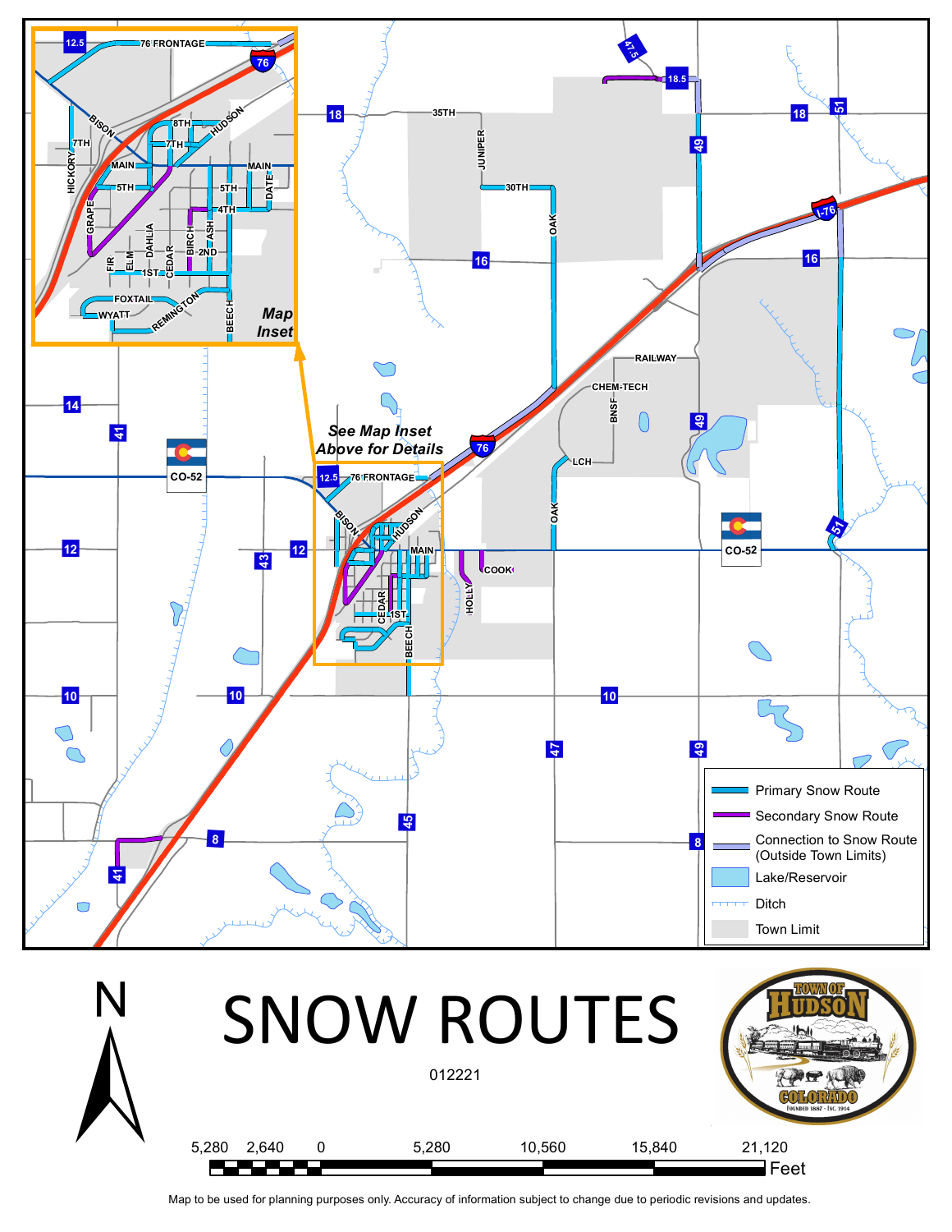

Map to be used for planning purposes only. Accuracy of information subject to change due to periodic revisions and updates.